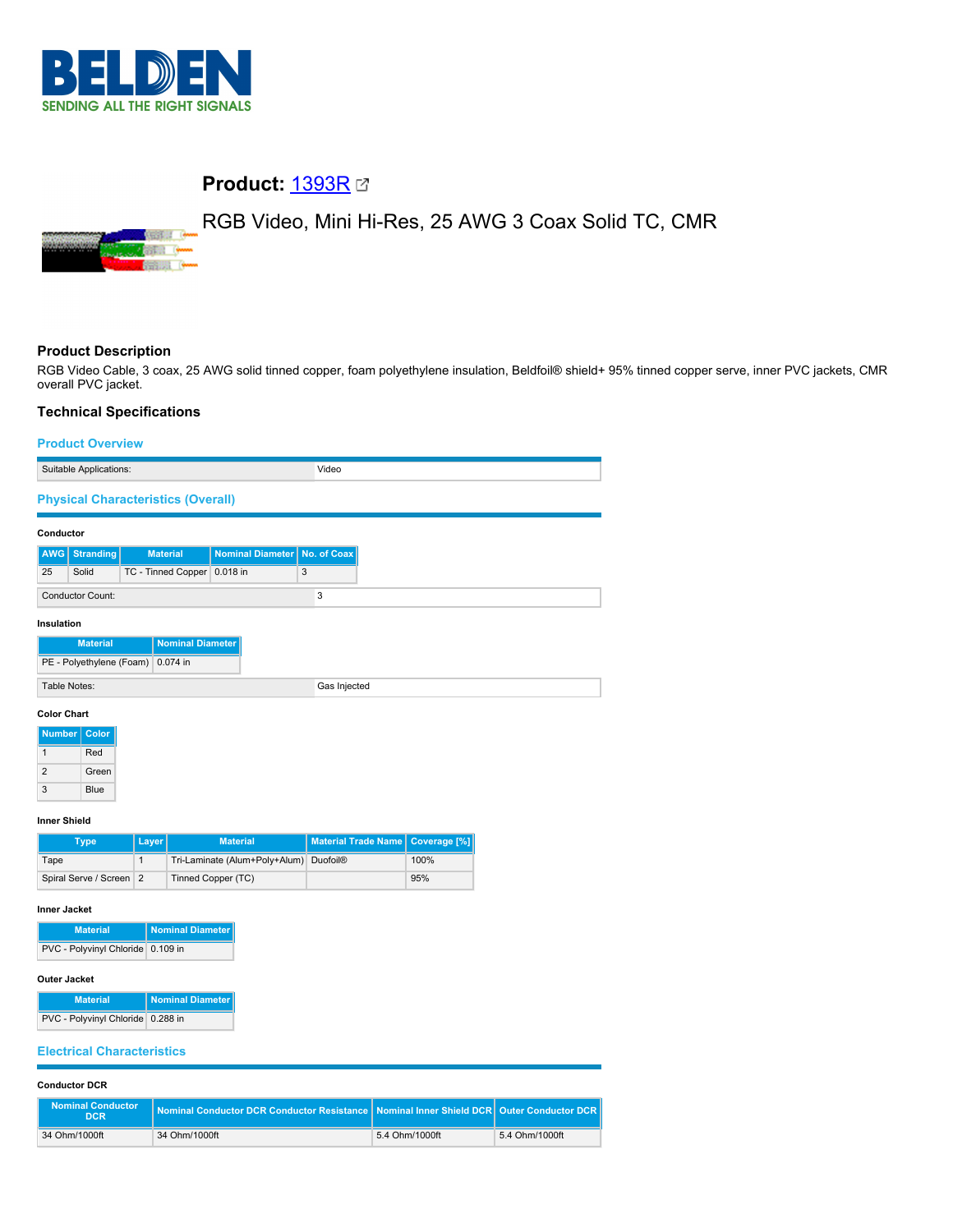

# **Product:** [1393R](https://catalog.belden.com/index.cfm?event=pd&p=PF_1393R&tab=downloads)

# RGB Video, Mini Hi-Res, 25 AWG 3 Coax Solid TC, CMR



# **Product Description**

RGB Video Cable, 3 coax, 25 AWG solid tinned copper, foam polyethylene insulation, Beldfoil® shield+ 95% tinned copper serve, inner PVC jackets, CMR overall PVC jacket.

# **Technical Specifications**

# **Product Overview** Suitable Applications: Video **Physical Characteristics (Overall) Conductor AWG Stranding Material Nominal Diameter No. of Coax** 25 Solid TC - Tinned Copper 0.018 in 3 Conductor Count: 3 **Insulation Material Nominal Diam** PE - Polyethylene (Foam) 0.074 in Table Notes: Gas Injected **Color Chart Number** Colo 1 Red 2 Green 3 Blue **Inner Shield Type Layer Material Material Trade Name Coverage [%]** Tape 100% Tri-Laminate (Alum+Poly+Alum) Duofoil® 100% Spiral Serve / Screen 2 Tinned Copper (TC) 85% **Inner Jacket Material Nominal Diameter**

PVC - Polyvinyl Chloride 0.109 in

### **Outer Jacket**

| <b>Material</b>                   | Nominal Diameter |
|-----------------------------------|------------------|
| PVC - Polyvinyl Chloride 0.288 in |                  |

## **Electrical Characteristics**

# **Conductor DCR**

| <b>Nominal Conductor</b><br>DCR. | Nominal Conductor DCR Conductor Resistance Nominal Inner Shield DCR Quter Conductor DCR $\parallel$ |                |                |
|----------------------------------|-----------------------------------------------------------------------------------------------------|----------------|----------------|
| 34 Ohm/1000ft                    | 34 Ohm/1000ft                                                                                       | 5.4 Ohm/1000ft | 5.4 Ohm/1000ft |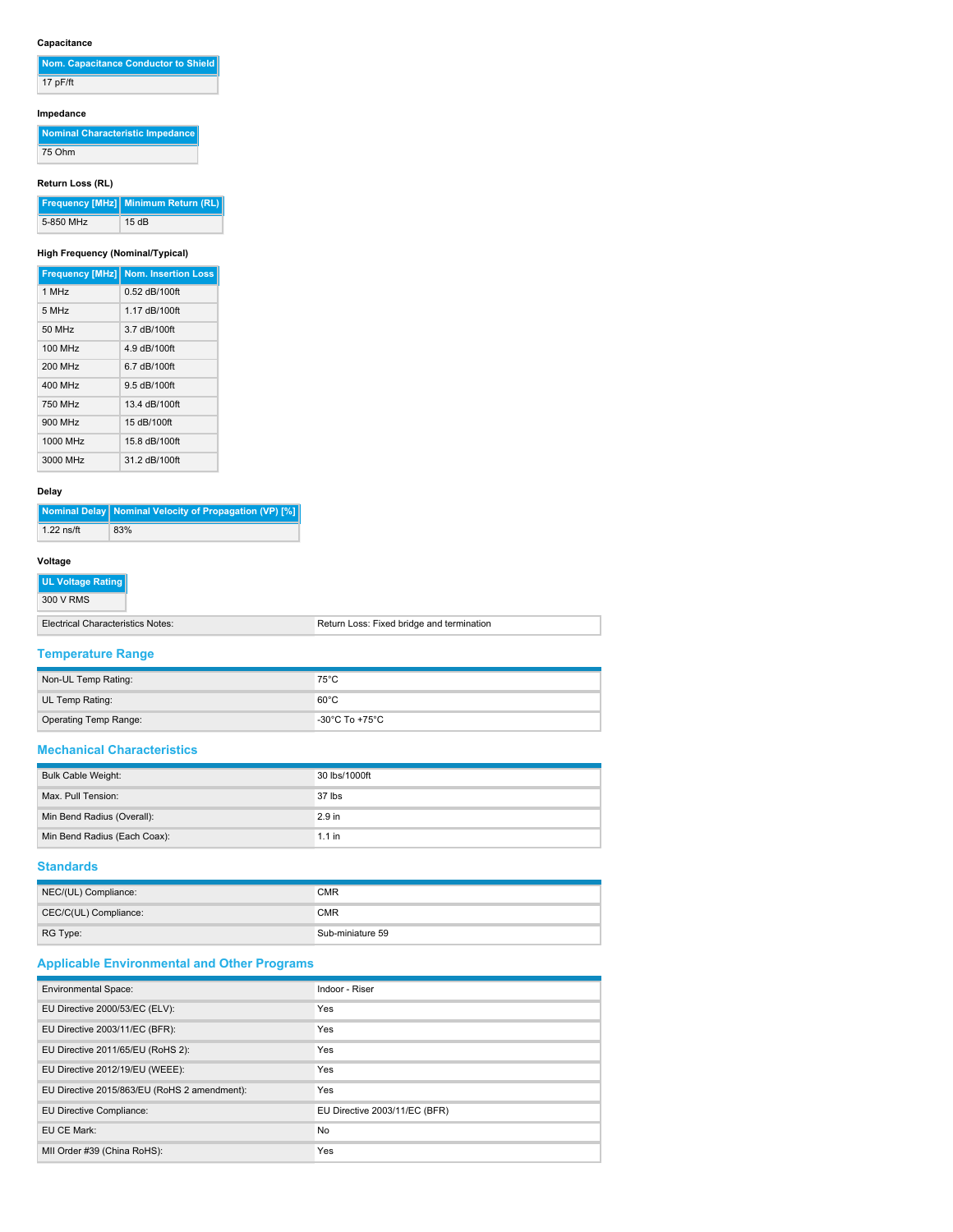# **Capacitance**

| Nom. Capacitance Conductor to Shield |
|--------------------------------------|
| $17$ pF/ft                           |

# **Impedance**

| Nominal Characteristic Impedance |  |
|----------------------------------|--|
| 75 Ohm                           |  |

# **Return Loss (RL)**

|           | Frequency [MHz] Minimum Return (RL) |
|-----------|-------------------------------------|
| 5-850 MHz | 15dB                                |

# **High Frequency (Nominal/Typical)**

|          | <b>Frequency [MHz] Nom. Insertion Loss</b> |
|----------|--------------------------------------------|
| 1 MHz    | 0.52 dB/100ft                              |
| 5 MHz    | 1 17 dB/100ft                              |
| 50 MHz   | 3.7 dB/100ft                               |
| 100 MHz  | 4.9 dB/100ft                               |
| 200 MHz  | 6.7 dB/100ft                               |
| 400 MHz  | 9.5 dB/100ft                               |
| 750 MHz  | 13.4 dB/100ft                              |
| 900 MHz  | 15 dB/100ft                                |
| 1000 MHz | 15.8 dB/100ft                              |
| 3000 MHz | 31.2 dB/100ft                              |

# **Delay**

|              | Nominal Delay   Nominal Velocity of Propagation (VP) [%] |
|--------------|----------------------------------------------------------|
| $1.22$ ns/ft | 83%                                                      |

# **Voltage**

| UL Voltage Rating |
|-------------------|
| 300 V RMS         |

| Electrical Characteristics Notes: | Return Loss: Fixed bridge and termination |
|-----------------------------------|-------------------------------------------|

# **Temperature Range**

| Non-UL Temp Rating:   | $75^{\circ}$ C |
|-----------------------|----------------|
| UL Temp Rating:       | $60^{\circ}$ C |
| Operating Temp Range: | -30°C To +75°C |

## **Mechanical Characteristics**

| <b>Bulk Cable Weight:</b>    | 30 lbs/1000ft     |
|------------------------------|-------------------|
| Max. Pull Tension:           | $37$ lbs          |
| Min Bend Radius (Overall):   | 2.9 <sub>in</sub> |
| Min Bend Radius (Each Coax): | $1.1$ in          |

### **Standards**

| NEC/(UL) Compliance:  | <b>CMR</b>       |
|-----------------------|------------------|
| CEC/C(UL) Compliance: | <b>CMR</b>       |
| RG Type:              | Sub-miniature 59 |

# **Applicable Environmental and Other Programs**

| <b>Environmental Space:</b>                  | Indoor - Riser                |
|----------------------------------------------|-------------------------------|
| EU Directive 2000/53/EC (ELV):               | Yes                           |
| EU Directive 2003/11/EC (BFR):               | Yes                           |
| EU Directive 2011/65/EU (RoHS 2):            | Yes                           |
| EU Directive 2012/19/EU (WEEE):              | Yes                           |
| EU Directive 2015/863/EU (RoHS 2 amendment): | Yes                           |
| EU Directive Compliance:                     | EU Directive 2003/11/EC (BFR) |
| EU CE Mark:                                  | <b>No</b>                     |
| MII Order #39 (China RoHS):                  | Yes                           |